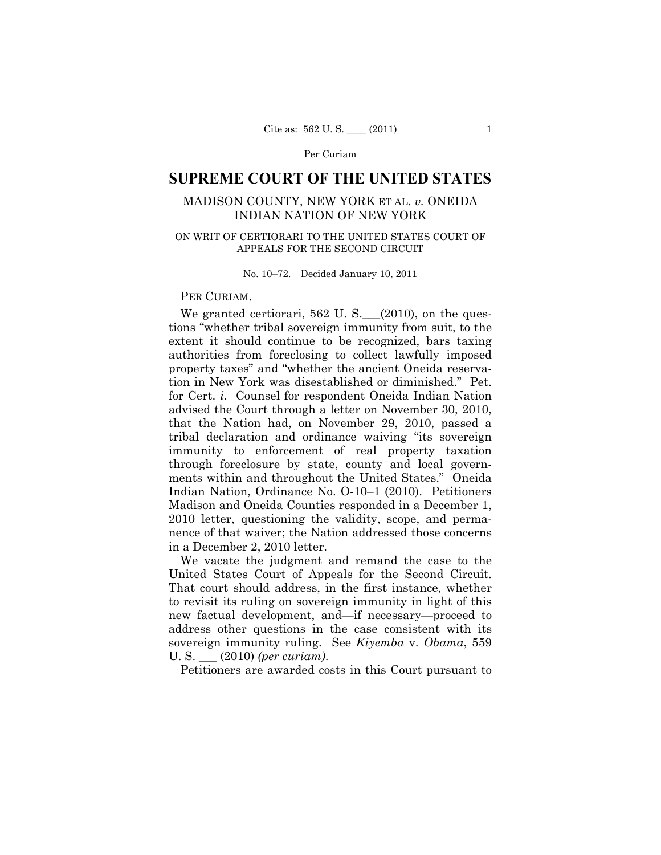### Per Curiam

# **SUPREME COURT OF THE UNITED STATES**

## MADISON COUNTY, NEW YORK ET AL. *v.* ONEIDA INDIAN NATION OF NEW YORK

### ON WRIT OF CERTIORARI TO THE UNITED STATES COURT OF APPEALS FOR THE SECOND CIRCUIT

No. 10–72. Decided January 10, 2011

PER CURIAM.

We granted certiorari,  $562$  U. S.  $\_\_ (2010)$ , on the questions "whether tribal sovereign immunity from suit, to the extent it should continue to be recognized, bars taxing authorities from foreclosing to collect lawfully imposed property taxes" and "whether the ancient Oneida reservation in New York was disestablished or diminished." Pet. for Cert. *i*. Counsel for respondent Oneida Indian Nation advised the Court through a letter on November 30, 2010, that the Nation had, on November 29, 2010, passed a tribal declaration and ordinance waiving "its sovereign immunity to enforcement of real property taxation through foreclosure by state, county and local governments within and throughout the United States." Oneida Indian Nation, Ordinance No. O-10–1 (2010). Petitioners Madison and Oneida Counties responded in a December 1, 2010 letter, questioning the validity, scope, and permanence of that waiver; the Nation addressed those concerns in a December 2, 2010 letter.

We vacate the judgment and remand the case to the United States Court of Appeals for the Second Circuit. That court should address, in the first instance, whether to revisit its ruling on sovereign immunity in light of this new factual development, and—if necessary—proceed to address other questions in the case consistent with its sovereign immunity ruling. See *Kiyemba* v. *Obama*, 559 U. S. \_\_\_ (2010) *(per curiam)*.

Petitioners are awarded costs in this Court pursuant to